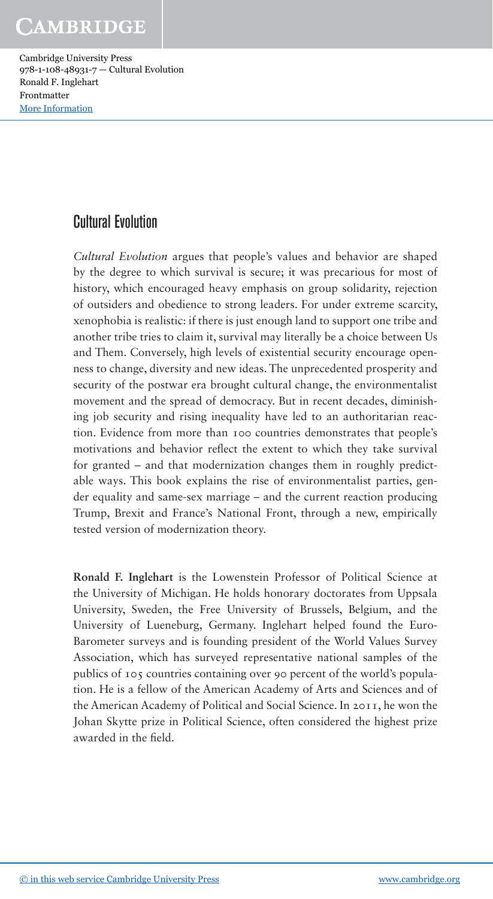#### Cultural Evolution

*Cultural Evolution* argues that people's values and behavior are shaped by the degree to which survival is secure; it was precarious for most of history, which encouraged heavy emphasis on group solidarity, rejection of outsiders and obedience to strong leaders. For under extreme scarcity, xenophobia is realistic: if there is just enough land to support one tribe and another tribe tries to claim it, survival may literally be a choice between Us and Them. Conversely, high levels of existential security encourage openness to change, diversity and new ideas. The unprecedented prosperity and security of the postwar era brought cultural change, the environmentalist movement and the spread of democracy. But in recent decades, diminishing job security and rising inequality have led to an authoritarian reaction. Evidence from more than 100 countries demonstrates that people's motivations and behavior reflect the extent to which they take survival for granted – and that modernization changes them in roughly predictable ways. This book explains the rise of environmentalist parties, gender equality and same-sex marriage – and the current reaction producing Trump, Brexit and France's National Front, through a new, empirically tested version of modernization theory.

**Ronald F. Inglehart** is the Lowenstein Professor of Political Science at the University of Michigan. He holds honorary doctorates from Uppsala University, Sweden, the Free University of Brussels, Belgium, and the University of Lueneburg, Germany. Inglehart helped found the Euro-Barometer surveys and is founding president of the World Values Survey Association, which has surveyed representative national samples of the publics of 105 countries containing over 90 percent of the world's population. He is a fellow of the American Academy of Arts and Sciences and of the American Academy of Political and Social Science. In 2011, he won the Johan Skytte prize in Political Science, often considered the highest prize awarded in the field.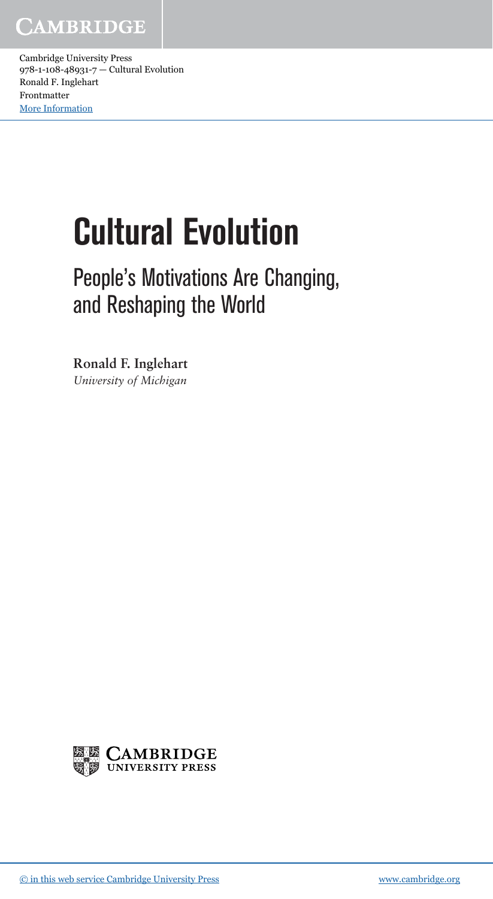# **Cultural Evolution**

## People's Motivations Are Changing, and Reshaping the World

 **Ronald F. Inglehart**   *University of Michigan* 

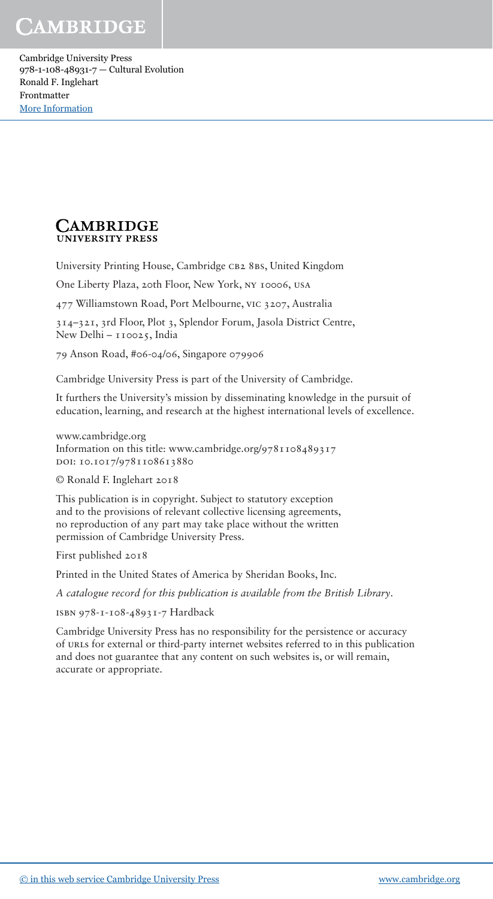#### **CAMBRIDGE UNIVERSITY PRESS**

University Printing House, Cambridge CB2 8BS, United Kingdom

One Liberty Plaza, 20th Floor, New York, ny 10006, USA

477 Williamstown Road, Port Melbourne, vic 3207, Australia

 314– 321, 3rd Floor, Plot 3, Splendor Forum, Jasola District Centre, New Delhi - 110025, India

79 Anson Road, #06-04/06, Singapore 079906

Cambridge University Press is part of the University of Cambridge.

 It furthers the University's mission by disseminating knowledge in the pursuit of education, learning, and research at the highest international levels of excellence.

 www.cambridge.org Information on this title: www.cambridge.org/9781108489317 DOI: 10.1017/9781108613880

© Ronald F. Inglehart 2018

 This publication is in copyright. Subject to statutory exception and to the provisions of relevant collective licensing agreements, no reproduction of any part may take place without the written permission of Cambridge University Press.

First published 2018

Printed in the United States of America by Sheridan Books, Inc.

*A catalogue record for this publication is available from the British Library* .

isbn 978- 1- 108- 48931- 7 Hardback

Cambridge University Press has no responsibility for the persistence or accuracy of URLs for external or third-party internet websites referred to in this publication and does not guarantee that any content on such websites is, or will remain, accurate or appropriate.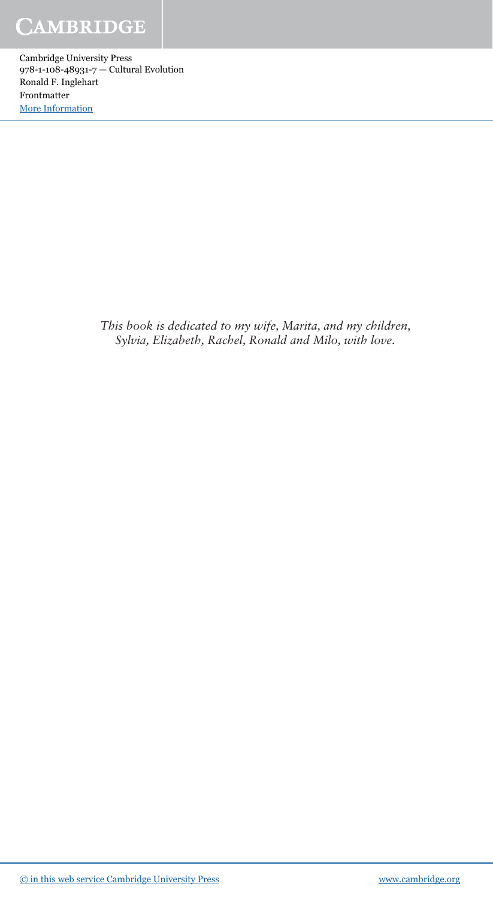Cambridge University Press 978-1-108-48931-7 — Cultural Evolution Ronald F. Inglehart Frontmatter [More Information](www.cambridge.org/9781108489317)

> *This book is dedicated to my wife, Marita, and my children, Sylvia, Elizabeth, Rachel, Ronald and Milo, with love.*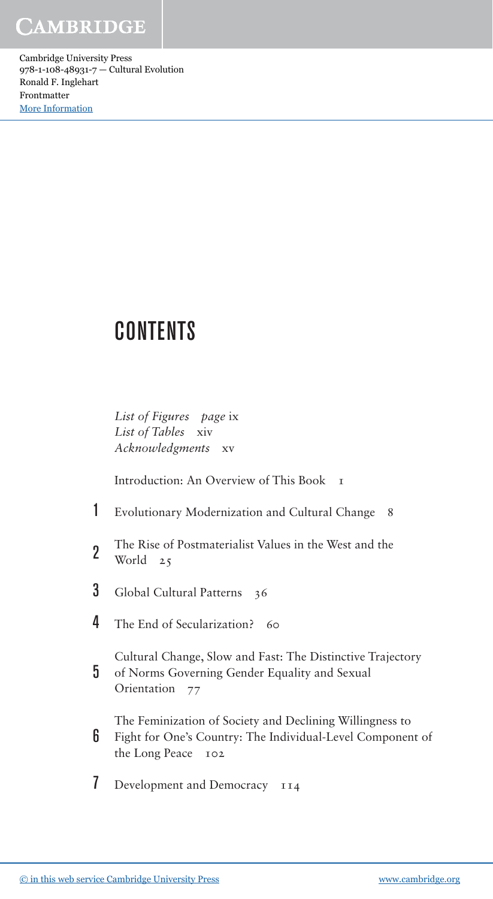Cambridge University Press 978-1-108-48931-7 — Cultural Evolution Ronald F. Inglehart Frontmatter [More Information](www.cambridge.org/9781108489317)

# **CONTENTS**

*List of Figures page* ix  *List of Tables* xiv  *Acknowledgments* xv

Introduction: An Overview of This Book I

- 1 Evolutionary Modernization and Cultural Change <sup>8</sup>
- 2 The Rise of Postmaterialist Values in the West and the World<sub>25</sub>
- 3 Global Cultural Patterns 36
- 4 The End of Secularization? 60
- 5 Cultural Change, Slow and Fast: The Distinctive Trajectory of Norms Governing Gender Equality and Sexual Orientation 77
- 6 The Feminization of Society and Declining Willingness to Fight for One's Country: The Individual-Level Component of the Long Peace 102
- 7 Development and Democracy 114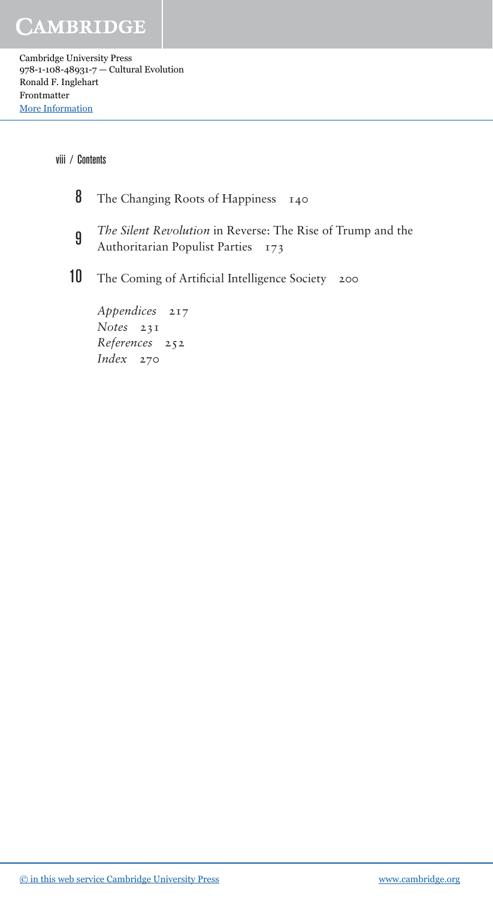*Index* 270

viii / Contents

|    | The Changing Roots of Happiness 140                                                               |
|----|---------------------------------------------------------------------------------------------------|
| 9  | The Silent Revolution in Reverse: The Rise of Trump and the<br>Authoritarian Populist Parties 173 |
| 10 | The Coming of Artificial Intelligence Society 200                                                 |
|    | $Appendices$ 217<br>Notes $23I$<br>References 252                                                 |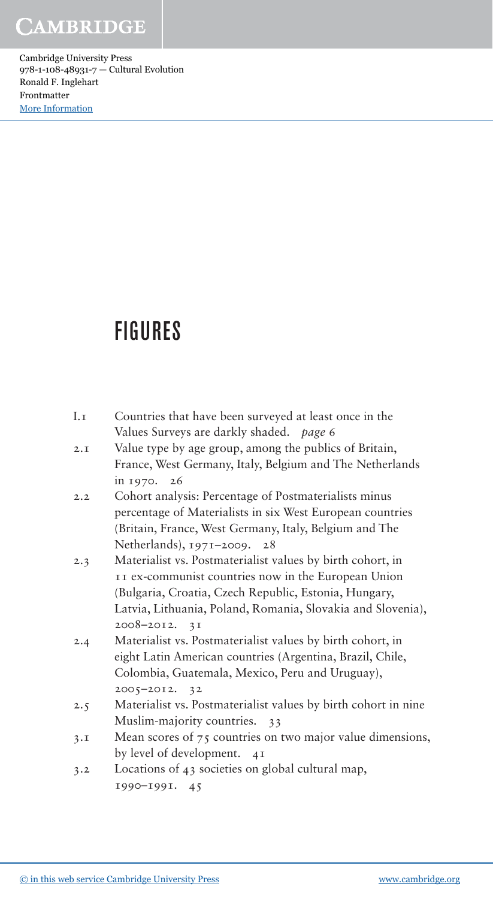Cambridge University Press 978-1-108-48931-7 — Cultural Evolution Ronald F. Inglehart Frontmatter [More Information](www.cambridge.org/9781108489317)

# **FIGURES**

- I.1 Countries that have been surveyed at least once in the Values Surveys are darkly shaded. *page* 6
- 2.1 Value type by age group, among the publics of Britain, France, West Germany, Italy, Belgium and The Netherlands in 1970. 26
- 2.2 Cohort analysis: Percentage of Postmaterialists minus percentage of Materialists in six West European countries (Britain, France, West Germany, Italy, Belgium and The Netherlands), 1971–2009. 28
- 2.3 Materialist vs. Postmaterialist values by birth cohort, in 11 ex- communist countries now in the European Union (Bulgaria, Croatia, Czech Republic, Estonia, Hungary, Latvia, Lithuania, Poland, Romania, Slovakia and Slovenia), 2008– 2012. 31
- 2.4 Materialist vs. Postmaterialist values by birth cohort, in eight Latin American countries (Argentina, Brazil, Chile, Colombia, Guatemala, Mexico, Peru and Uruguay),  $2005 - 2012.$  32
- 2.5 Materialist vs. Postmaterialist values by birth cohort in nine Muslim-majority countries. 33
- 3.1 Mean scores of 75 countries on two major value dimensions, by level of development. 41
- 3.2 Locations of 43 societies on global cultural map, 1990–1991. 45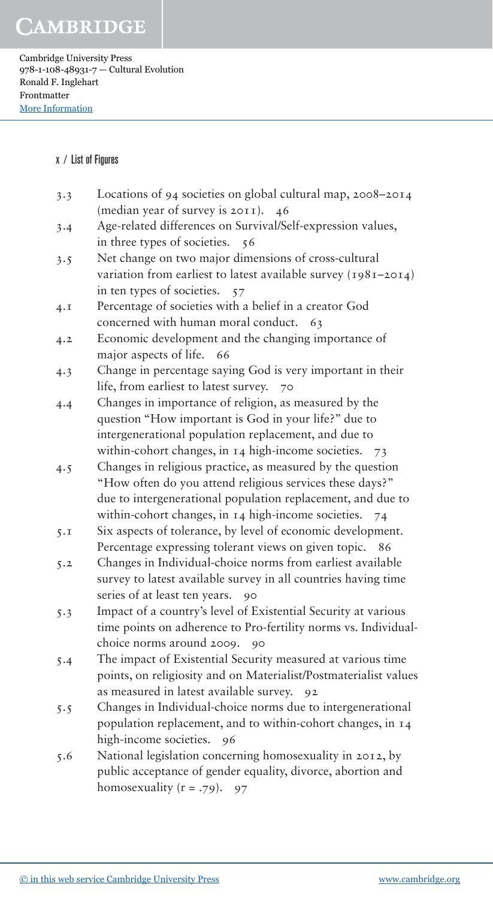Cambridge University Press 978-1-108-48931-7 — Cultural Evolution Ronald F. Inglehart Frontmatter [More Information](www.cambridge.org/9781108489317)

#### x / List of Figures

- 3.3 Locations of 94 societies on global cultural map, 2008– 2014 (median year of survey is 2011). 46
- 3.4 Age-related differences on Survival/Self-expression values, in three types of societies. 56
- 3.5 Net change on two major dimensions of cross-cultural variation from earliest to latest available survey  $(1981-2014)$ in ten types of societies. 57
- 4.1 Percentage of societies with a belief in a creator God concerned with human moral conduct. 63
- 4.2 Economic development and the changing importance of major aspects of life. 66
- 4.3 Change in percentage saying God is very important in their life, from earliest to latest survey. 70
- 4.4 Changes in importance of religion, as measured by the question "How important is God in your life?" due to intergenerational population replacement, and due to within-cohort changes, in  $I_4$  high-income societies. 73
- 4.5 Changes in religious practice, as measured by the question "How often do you attend religious services these days?" due to intergenerational population replacement, and due to within-cohort changes, in  $I_4$  high-income societies.  $74$
- 5.1 Six aspects of tolerance, by level of economic development. Percentage expressing tolerant views on given topic. 86
- 5.2 Changes in Individual- choice norms from earliest available survey to latest available survey in all countries having time series of at least ten years. 90
- 5.3 Impact of a country's level of Existential Security at various time points on adherence to Pro-fertility norms vs. Individualchoice norms around 2009. 90
- 5.4 The impact of Existential Security measured at various time points, on religiosity and on Materialist/Postmaterialist values as measured in latest available survey. 92
- 5.5 Changes in Individual- choice norms due to intergenerational population replacement, and to within- cohort changes, in 14 high-income societies. 96
- 5.6 National legislation concerning homosexuality in 2012, by public acceptance of gender equality, divorce, abortion and homosexuality  $(r = .79)$ . 97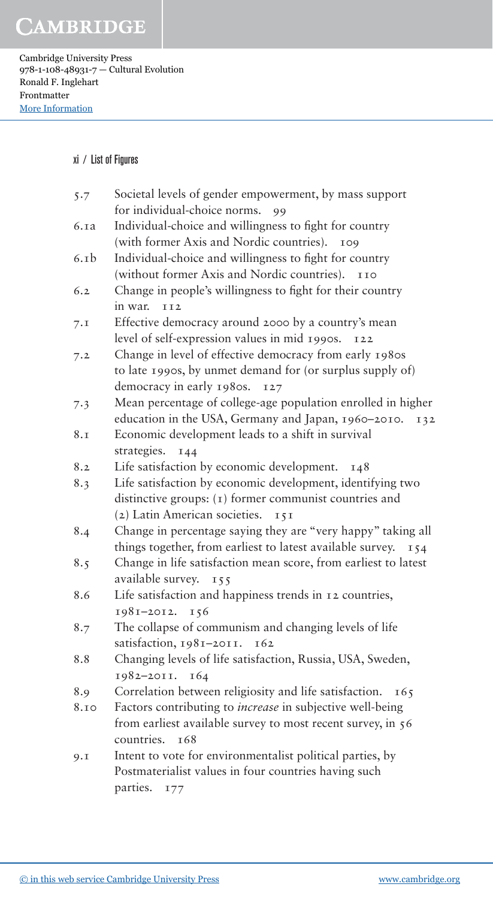#### xi / List of Figures

| 5.7         | Societal levels of gender empowerment, by mass support                          |
|-------------|---------------------------------------------------------------------------------|
|             | for individual-choice norms.<br>99                                              |
| 6. та       | Individual-choice and willingness to fight for country                          |
|             | (with former Axis and Nordic countries).<br>IO9                                 |
| 6.1b        | Individual-choice and willingness to fight for country                          |
|             | (without former Axis and Nordic countries).<br>IIO                              |
| 6.2         | Change in people's willingness to fight for their country<br>in war.<br>$T$ T 2 |
| $7 \cdot 1$ | Effective democracy around 2000 by a country's mean                             |
|             | level of self-expression values in mid 1990s.<br>I22                            |
| 7.2         | Change in level of effective democracy from early 1980s                         |
|             | to late 1990s, by unmet demand for (or surplus supply of)                       |
|             | democracy in early 1980s.<br>127                                                |
| 7.3         | Mean percentage of college-age population enrolled in higher                    |
|             | education in the USA, Germany and Japan, 1960-2010.<br>132                      |
| 8.1         | Economic development leads to a shift in survival                               |
|             | strategies.<br><b>I44</b>                                                       |
| 8.2         | Life satisfaction by economic development.<br>148                               |
| 8.3         | Life satisfaction by economic development, identifying two                      |
|             | distinctive groups: (1) former communist countries and                          |
|             | (2) Latin American societies.<br>$I\overline{5}I$                               |
| 8.4         | Change in percentage saying they are "very happy" taking all                    |
|             | things together, from earliest to latest available survey.<br>154               |
| 8.5         | Change in life satisfaction mean score, from earliest to latest                 |
|             | available survey.<br>155                                                        |
| 8.6         | Life satisfaction and happiness trends in 12 countries,                         |
|             | 1981-2012.<br>I56                                                               |
| 8.7         | The collapse of communism and changing levels of life                           |
|             | satisfaction, 1981-2011.<br>I62                                                 |
| 8.8         | Changing levels of life satisfaction, Russia, USA, Sweden,                      |
|             | 1982-2011. 164                                                                  |
| 8.9         | Correlation between religiosity and life satisfaction.<br>165                   |
| 8.10        | Factors contributing to <i>increase</i> in subjective well-being                |
|             | from earliest available survey to most recent survey, in 56                     |
|             | countries. 168                                                                  |
| 9.1         | Intent to vote for environmentalist political parties, by                       |
|             | Postmaterialist values in four countries having such                            |
|             | parties.<br><b>177</b>                                                          |
|             |                                                                                 |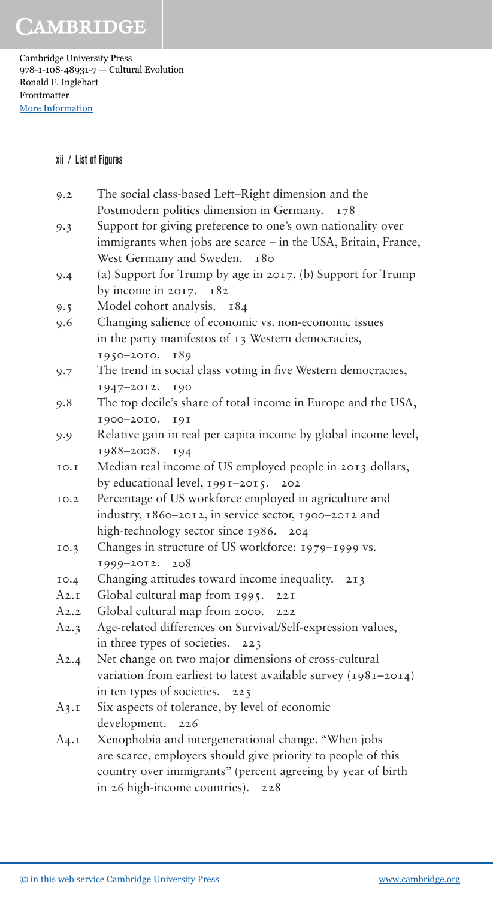Cambridge University Press 978-1-108-48931-7 — Cultural Evolution Ronald F. Inglehart Frontmatter [More Information](www.cambridge.org/9781108489317)

#### xii / List of Figures

 9.2 The social class- based Left– Right dimension and the Postmodern politics dimension in Germany. 178 9.3 Support for giving preference to one's own nationality over immigrants when jobs are scarce – in the USA, Britain, France, West Germany and Sweden. 180 9.4 (a) Support for Trump by age in 2017. (b) Support for Trump by income in  $2017.182$  9.5 Model cohort analysis. 184 9.6 Changing salience of economic vs. non-economic issues in the party manifestos of 13 Western democracies, 1950– 2010. 189 9.7 The trend in social class voting in five Western democracies, 1947– 2012. 190 9.8 The top decile's share of total income in Europe and the USA, 1900– 2010. 191 9.9 Relative gain in real per capita income by global income level, 1988–2008. 194 10.1 Median real income of US employed people in 2013 dollars, by educational level,  $1991-2015$ . 202 10.2 Percentage of US workforce employed in agriculture and industry,  $1860 - 2012$ , in service sector,  $1900 - 2012$  and high-technology sector since 1986. 204 10.3 Changes in structure of US workforce: 1979– 1999 vs. 1999– 2012. 208 10.4 Changing attitudes toward income inequality. 213 A2.1 Global cultural map from 1995. 221 A2.2 Global cultural map from 2000. 222 A2.3 Age-related differences on Survival/Self-expression values, in three types of societies. 223 A2.4 Net change on two major dimensions of cross-cultural variation from earliest to latest available survey  $(1981-2014)$ in ten types of societies. 225 A3.1 Six aspects of tolerance, by level of economic development. 226 A4.1 Xenophobia and intergenerational change. "When jobs are scarce, employers should give priority to people of this country over immigrants" (percent agreeing by year of birth in  $26$  high-income countries).  $228$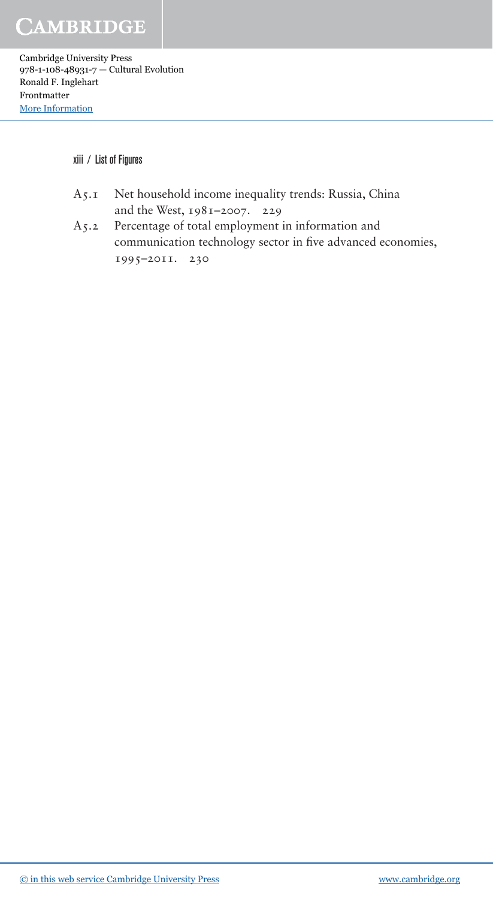#### xiii / List of Figures

- A5.1 Net household income inequality trends: Russia, China and the West, 1981-2007. 229
- A5.2 Percentage of total employment in information and communication technology sector in five advanced economies, 1995– 2011. 230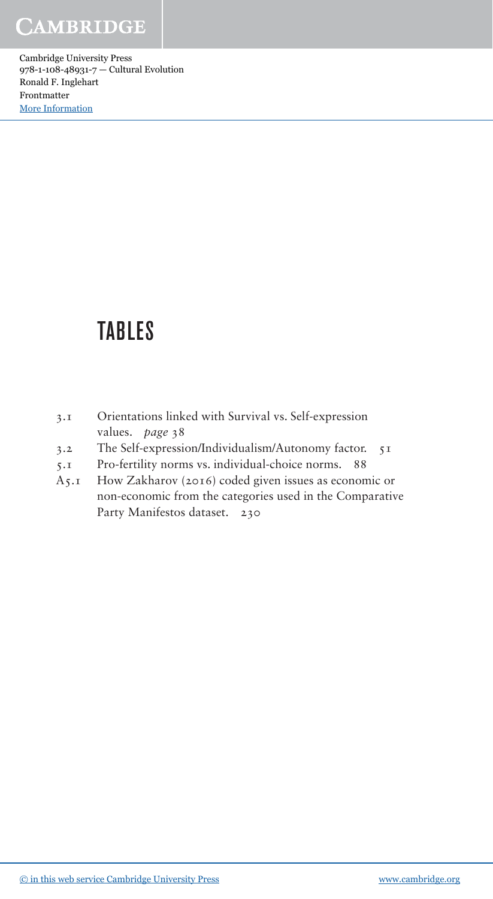Cambridge University Press 978-1-108-48931-7 — Cultural Evolution Ronald F. Inglehart Frontmatter [More Information](www.cambridge.org/9781108489317)

# TABLES

- 3.1 Orientations linked with Survival vs. Self- expression values. *page* 38
- 3.2 The Self-expression/Individualism/Autonomy factor. 51
- 5.1 Pro-fertility norms vs. individual-choice norms. 88
- A5.1 How Zakharov (2016) coded given issues as economic or non- economic from the categories used in the Comparative Party Manifestos dataset. 230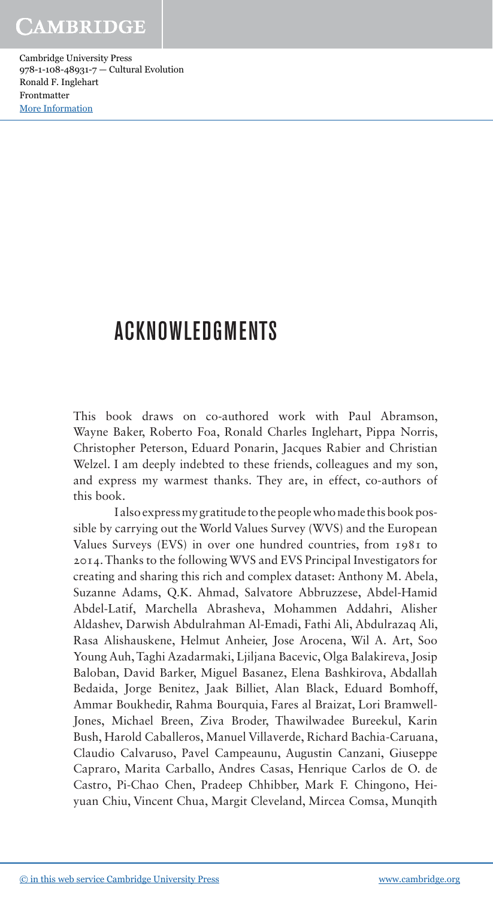# ACKNOWLEDGMENTS

This book draws on co-authored work with Paul Abramson, Wayne Baker, Roberto Foa, Ronald Charles Inglehart, Pippa Norris, Christopher Peterson, Eduard Ponarin, Jacques Rabier and Christian Welzel. I am deeply indebted to these friends, colleagues and my son, and express my warmest thanks. They are, in effect, co-authors of this book.

I also express my gratitude to the people who made this book possible by carrying out the World Values Survey (WVS) and the European Values Surveys (EVS) in over one hundred countries, from 1981 to 2014. Thanks to the following WVS and EVS Principal Investigators for creating and sharing this rich and complex dataset: Anthony M. Abela, Suzanne Adams, Q.K. Ahmad, Salvatore Abbruzzese, Abdel-Hamid Abdel- Latif, Marchella Abrasheva, Mohammen Addahri, Alisher Aldashev, Darwish Abdulrahman Al- Emadi, Fathi Ali, Abdulrazaq Ali, Rasa Alishauskene, Helmut Anheier, Jose Arocena, Wil A. Art, Soo Young Auh, Taghi Azadarmaki, Ljiljana Bacevic, Olga Balakireva, Josip Baloban, David Barker, Miguel Basanez, Elena Bashkirova, Abdallah Bedaida, Jorge Benitez, Jaak Billiet, Alan Black, Eduard Bomhoff, Ammar Boukhedir, Rahma Bourquia, Fares al Braizat, Lori Bramwell-Jones, Michael Breen, Ziva Broder, Thawilwadee Bureekul, Karin Bush, Harold Caballeros, Manuel Villaverde, Richard Bachia- Caruana, Claudio Calvaruso, Pavel Campeaunu, Augustin Canzani, Giuseppe Capraro, Marita Carballo, Andres Casas, Henrique Carlos de O. de Castro, Pi- Chao Chen, Pradeep Chhibber, Mark F. Chingono, Heiyuan Chiu, Vincent Chua, Margit Cleveland, Mircea Comsa, Munqith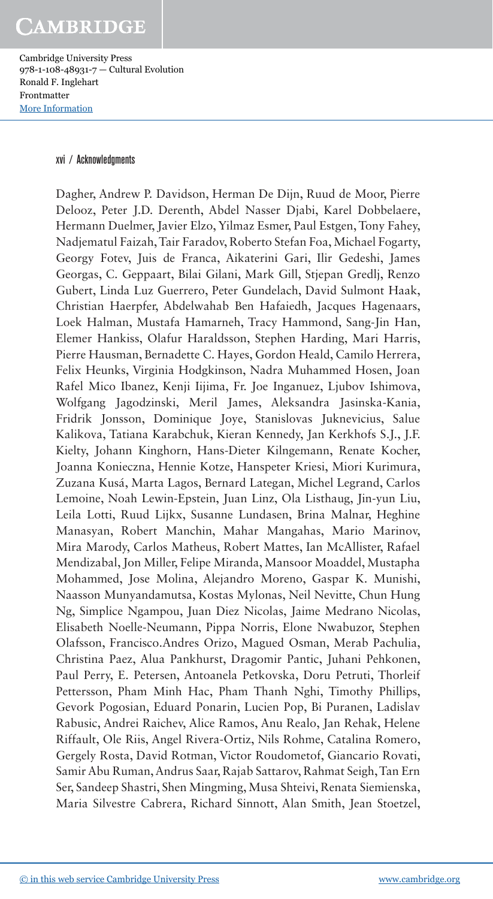Cambridge University Press 978-1-108-48931-7 — Cultural Evolution Ronald F. Inglehart Frontmatter [More Information](www.cambridge.org/9781108489317)

#### xvi / Acknowledgments

Dagher, Andrew P. Davidson, Herman De Dijn, Ruud de Moor, Pierre Delooz, Peter J.D. Derenth, Abdel Nasser Djabi, Karel Dobbelaere, Hermann Duelmer, Javier Elzo, Yilmaz Esmer, Paul Estgen, Tony Fahey, Nadjematul Faizah, Tair Faradov, Roberto Stefan Foa, Michael Fogarty, Georgy Fotev, Juis de Franca, Aikaterini Gari, Ilir Gedeshi, James Georgas, C. Geppaart, Bilai Gilani, Mark Gill, Stjepan Gredlj, Renzo Gubert, Linda Luz Guerrero, Peter Gundelach, David Sulmont Haak, Christian Haerpfer, Abdelwahab Ben Hafaiedh, Jacques Hagenaars, Loek Halman, Mustafa Hamarneh, Tracy Hammond, Sang-Jin Han, Elemer Hankiss, Olafur Haraldsson, Stephen Harding, Mari Harris, Pierre Hausman, Bernadette C. Hayes, Gordon Heald, Camilo Herrera, Felix Heunks, Virginia Hodgkinson, Nadra Muhammed Hosen, Joan Rafel Mico Ibanez, Kenji Iijima, Fr. Joe Inganuez, Ljubov Ishimova, Wolfgang Jagodzinski, Meril James, Aleksandra Jasinska- Kania, Fridrik Jonsson, Dominique Joye, Stanislovas Juknevicius, Salue Kalikova, Tatiana Karabchuk, Kieran Kennedy, Jan Kerkhofs S.J., J.F. Kielty, Johann Kinghorn, Hans-Dieter Kilngemann, Renate Kocher, Joanna Konieczna, Hennie Kotze, Hanspeter Kriesi, Miori Kurimura, Zuzana Kusá, Marta Lagos, Bernard Lategan, Michel Legrand, Carlos Lemoine, Noah Lewin-Epstein, Juan Linz, Ola Listhaug, Jin-yun Liu, Leila Lotti, Ruud Lijkx, Susanne Lundasen, Brina Malnar, Heghine Manasyan, Robert Manchin, Mahar Mangahas, Mario Marinov, Mira Marody, Carlos Matheus, Robert Mattes, Ian McAllister, Rafael Mendizabal, Jon Miller, Felipe Miranda, Mansoor Moaddel, Mustapha Mohammed, Jose Molina, Alejandro Moreno, Gaspar K. Munishi, Naasson Munyandamutsa, Kostas Mylonas, Neil Nevitte, Chun Hung Ng, Simplice Ngampou, Juan Diez Nicolas, Jaime Medrano Nicolas, Elisabeth Noelle- Neumann, Pippa Norris, Elone Nwabuzor, Stephen Olafsson, Francisco.Andres Orizo, Magued Osman, Merab Pachulia, Christina Paez, Alua Pankhurst, Dragomir Pantic, Juhani Pehkonen, Paul Perry, E. Petersen, Antoanela Petkovska, Doru Petruti, Thorleif Pettersson, Pham Minh Hac, Pham Thanh Nghi, Timothy Phillips, Gevork Pogosian, Eduard Ponarin, Lucien Pop, Bi Puranen, Ladislav Rabusic, Andrei Raichev, Alice Ramos, Anu Realo, Jan Rehak, Helene Riffault, Ole Riis, Angel Rivera- Ortiz, Nils Rohme, Catalina Romero, Gergely Rosta, David Rotman, Victor Roudometof, Giancario Rovati, Samir Abu Ruman, Andrus Saar, Rajab Sattarov, Rahmat Seigh, Tan Ern Ser, Sandeep Shastri, Shen Mingming, Musa Shteivi, Renata Siemienska, Maria Silvestre Cabrera, Richard Sinnott, Alan Smith, Jean Stoetzel,